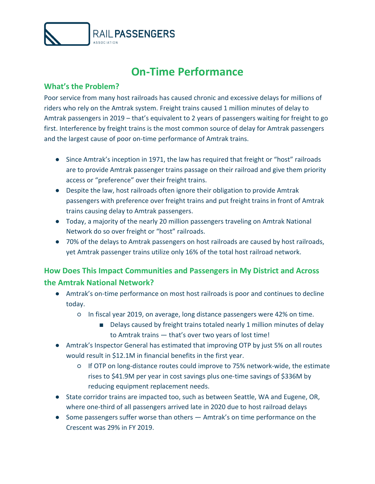

# **On-Time Performance**

### **What's the Problem?**

Poor service from many host railroads has caused chronic and excessive delays for millions of riders who rely on the Amtrak system. Freight trains caused 1 million minutes of delay to Amtrak passengers in 2019 – that's equivalent to 2 years of passengers waiting for freight to go first. Interference by freight trains is the most common source of delay for Amtrak passengers and the largest cause of poor on-time performance of Amtrak trains.

- Since Amtrak's inception in 1971, the law has required that freight or "host" railroads are to provide Amtrak passenger trains passage on their railroad and give them priority access or "preference" over their freight trains.
- Despite the law, host railroads often ignore their obligation to provide Amtrak passengers with preference over freight trains and put freight trains in front of Amtrak trains causing delay to Amtrak passengers.
- Today, a majority of the nearly 20 million passengers traveling on Amtrak National Network do so over freight or "host" railroads.
- 70% of the delays to Amtrak passengers on host railroads are caused by host railroads, yet Amtrak passenger trains utilize only 16% of the total host railroad network.

## **How Does This Impact Communities and Passengers in My District and Across the Amtrak National Network?**

- Amtrak's on-time performance on most host railroads is poor and continues to decline today.
	- In fiscal year 2019, on average, long distance passengers were 42% on time.
		- Delays caused by freight trains totaled nearly 1 million minutes of delay to Amtrak trains — that's over two years of lost time!
- Amtrak's Inspector General has estimated that improving OTP by just 5% on all routes would result in \$12.1M in financial benefits in the first year.
	- If OTP on long-distance routes could improve to 75% network-wide, the estimate rises to \$41.9M per year in cost savings plus one-time savings of \$336M by reducing equipment replacement needs.
- State corridor trains are impacted too, such as between Seattle, WA and Eugene, OR, where one-third of all passengers arrived late in 2020 due to host railroad delays
- Some passengers suffer worse than others Amtrak's on time performance on the Crescent was 29% in FY 2019.